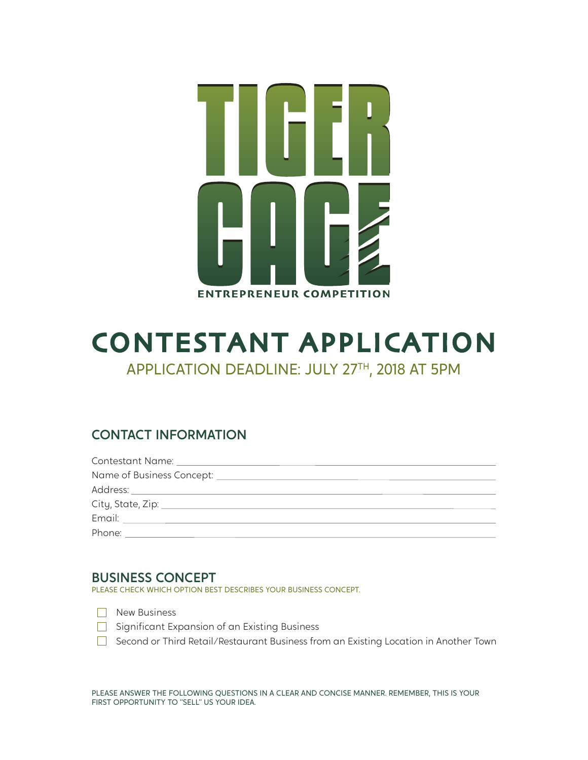

# CONTESTANT APPLICATION APPLICATION DEADLINE: JULY 27TH, 2018 AT 5PM

## CONTACT INFORMATION

| Phone: |  |
|--------|--|

### BUSINESS CONCEPT

PLEASE CHECK WHICH OPTION BEST DESCRIBES YOUR BUSINESS CONCEPT.

- New Business
- Significant Expansion of an Existing Business
- □ Second or Third Retail/Restaurant Business from an Existing Location in Another Town

PLEASE ANSWER THE FOLLOWING QUESTIONS IN A CLEAR AND CONCISE MANNER. REMEMBER, THIS IS YOUR FIRST OPPORTUNITY TO "SELL" US YOUR IDEA.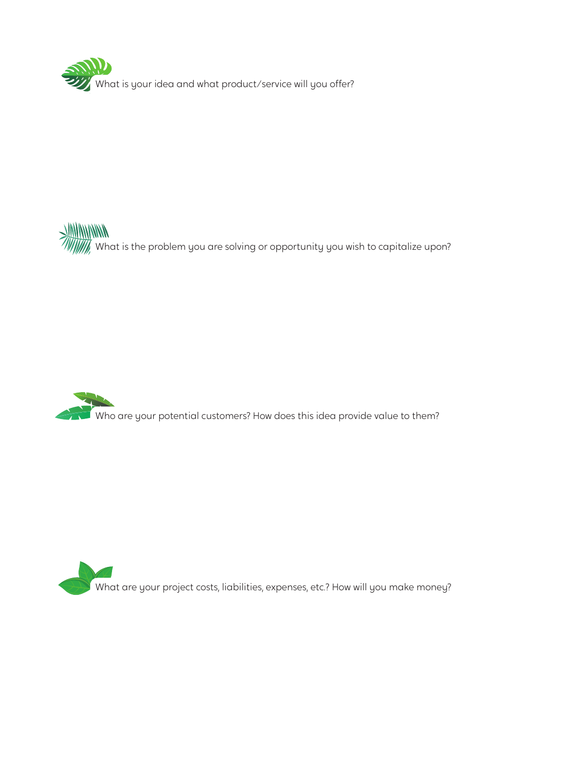

WHANNING WHAT IS the problem you are solving or opportunity you wish to capitalize upon?



What are your project costs, liabilities, expenses, etc.? How will you make money?